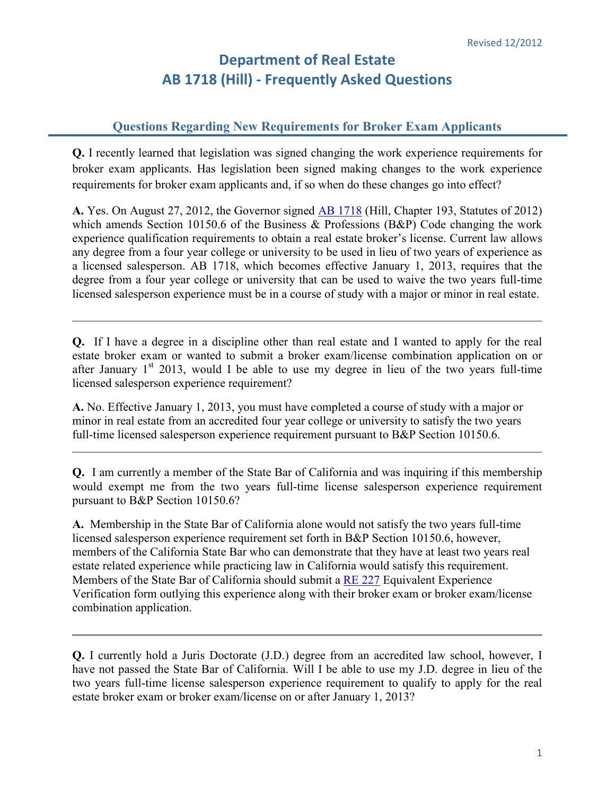## **Department of Real Estate AB 1718 (Hill) - Frequently Asked Questions**

## **Questions Regarding New Requirements for Broker Exam Applicants**

**Q.** I recently learned that legislation was signed changing the work experience requirements for broker exam applicants. Has legislation been signed making changes to the work experience requirements for broker exam applicants and, if so when do these changes go into effect?

**A.** Yes. On August 27, 2012, the Governor signed [AB 1718](http://www.leginfo.ca.gov/pub/11-12/bill/asm/ab_1701-1750/ab_1718_bill_20120827_chaptered.pdf) (Hill, Chapter 193, Statutes of 2012) which amends Section 10150.6 of the Business & Professions (B&P) Code changing the work experience qualification requirements to obtain a real estate broker's license. Current law allows any degree from a four year college or university to be used in lieu of two years of experience as a licensed salesperson. AB 1718, which becomes effective January 1, 2013, requires that the degree from a four year college or university that can be used to waive the two years full-time licensed salesperson experience must be in a course of study with a major or minor in real estate.

**Q.** If I have a degree in a discipline other than real estate and I wanted to apply for the real estate broker exam or wanted to submit a broker exam/license combination application on or after January  $1<sup>st</sup>$  2013, would I be able to use my degree in lieu of the two years full-time licensed salesperson experience requirement?

**A.** No. Effective January 1, 2013, you must have completed a course of study with a major or minor in real estate from an accredited four year college or university to satisfy the two years full-time licensed salesperson experience requirement pursuant to B&P Section 10150.6.

**Q.** I am currently a member of the State Bar of California and was inquiring if this membership would exempt me from the two years full-time license salesperson experience requirement pursuant to B&P Section 10150.6?

**A.** Membership in the State Bar of California alone would not satisfy the two years full-time licensed salesperson experience requirement set forth in B&P Section 10150.6, however, members of the California State Bar who can demonstrate that they have at least two years real estate related experience while practicing law in California would satisfy this requirement. Members of the State Bar of California should submit a [RE 227](http://www.dre.ca.gov/files/pdf/forms/re227.pdf) Equivalent Experience Verification form outlying this experience along with their broker exam or broker exam/license combination application.

**Q.** I currently hold a Juris Doctorate (J.D.) degree from an accredited law school, however, I have not passed the State Bar of California. Will I be able to use my J.D. degree in lieu of the two years full-time license salesperson experience requirement to qualify to apply for the real estate broker exam or broker exam/license on or after January 1, 2013?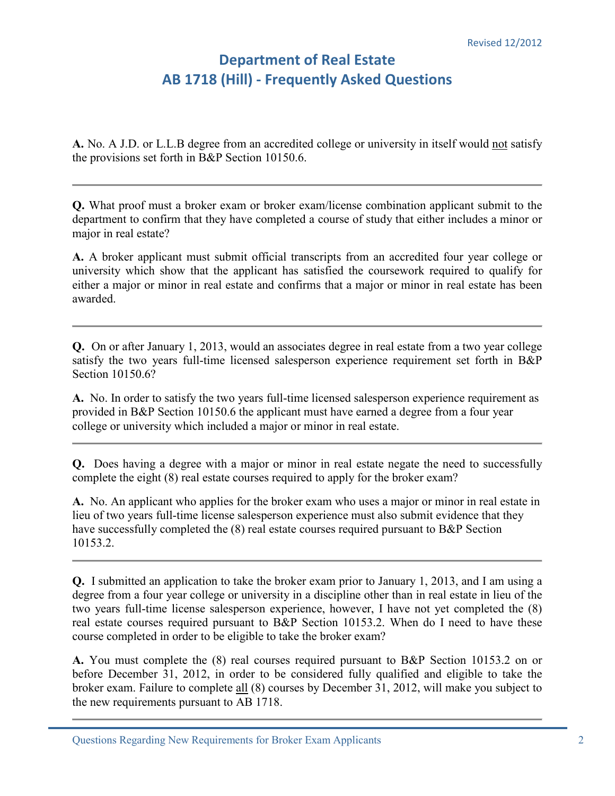## **Department of Real Estate AB 1718 (Hill) - Frequently Asked Questions**

**A.** No. A J.D. or L.L.B degree from an accredited college or university in itself would not satisfy the provisions set forth in B&P Section 10150.6.

**Q.** What proof must a broker exam or broker exam/license combination applicant submit to the department to confirm that they have completed a course of study that either includes a minor or major in real estate?

**A.** A broker applicant must submit official transcripts from an accredited four year college or university which show that the applicant has satisfied the coursework required to qualify for either a major or minor in real estate and confirms that a major or minor in real estate has been awarded.

**Q.** On or after January 1, 2013, would an associates degree in real estate from a two year college satisfy the two years full-time licensed salesperson experience requirement set forth in B&P Section 10150.6?

**A.** No. In order to satisfy the two years full-time licensed salesperson experience requirement as provided in B&P Section 10150.6 the applicant must have earned a degree from a four year college or university which included a major or minor in real estate.

**Q.** Does having a degree with a major or minor in real estate negate the need to successfully complete the eight (8) real estate courses required to apply for the broker exam?

**A.** No. An applicant who applies for the broker exam who uses a major or minor in real estate in lieu of two years full-time license salesperson experience must also submit evidence that they have successfully completed the  $(8)$  real estate courses required pursuant to B&P Section 10153.2.

**Q.** I submitted an application to take the broker exam prior to January 1, 2013, and I am using a degree from a four year college or university in a discipline other than in real estate in lieu of the two years full-time license salesperson experience, however, I have not yet completed the (8) real estate courses required pursuant to B&P Section 10153.2. When do I need to have these course completed in order to be eligible to take the broker exam?

**A.** You must complete the (8) real courses required pursuant to B&P Section 10153.2 on or before December 31, 2012, in order to be considered fully qualified and eligible to take the broker exam. Failure to complete all (8) courses by December 31, 2012, will make you subject to the new requirements pursuant to AB 1718.